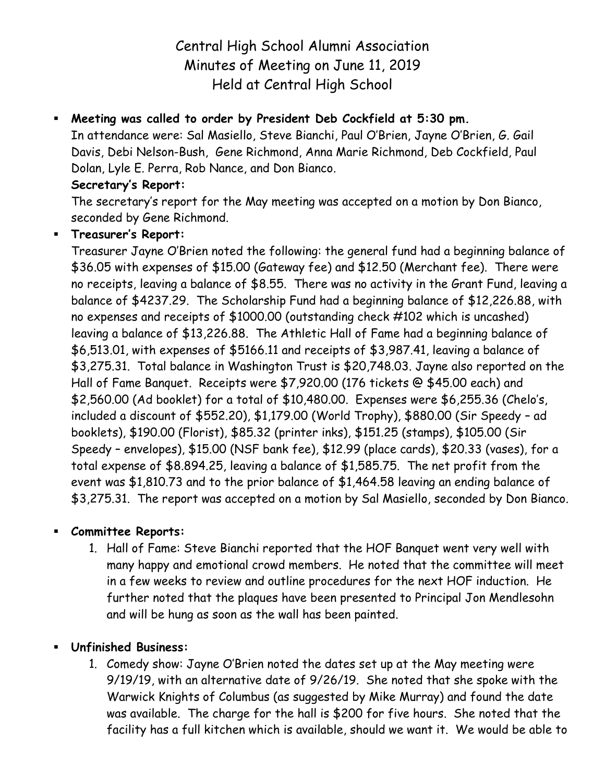# Central High School Alumni Association Minutes of Meeting on June 11, 2019 Held at Central High School

## **Meeting was called to order by President Deb Cockfield at 5:30 pm.**

In attendance were: Sal Masiello, Steve Bianchi, Paul O'Brien, Jayne O'Brien, G. Gail Davis, Debi Nelson-Bush, Gene Richmond, Anna Marie Richmond, Deb Cockfield, Paul Dolan, Lyle E. Perra, Rob Nance, and Don Bianco.

### **Secretary's Report:**

The secretary's report for the May meeting was accepted on a motion by Don Bianco, seconded by Gene Richmond.

### **Treasurer's Report:**

Treasurer Jayne O'Brien noted the following: the general fund had a beginning balance of \$36.05 with expenses of \$15.00 (Gateway fee) and \$12.50 (Merchant fee). There were no receipts, leaving a balance of \$8.55. There was no activity in the Grant Fund, leaving a balance of \$4237.29. The Scholarship Fund had a beginning balance of \$12,226.88, with no expenses and receipts of \$1000.00 (outstanding check #102 which is uncashed) leaving a balance of \$13,226.88. The Athletic Hall of Fame had a beginning balance of \$6,513.01, with expenses of \$5166.11 and receipts of \$3,987.41, leaving a balance of \$3,275.31. Total balance in Washington Trust is \$20,748.03. Jayne also reported on the Hall of Fame Banquet. Receipts were \$7,920.00 (176 tickets @ \$45.00 each) and \$2,560.00 (Ad booklet) for a total of \$10,480.00. Expenses were \$6,255.36 (Chelo's, included a discount of \$552.20), \$1,179.00 (World Trophy), \$880.00 (Sir Speedy – ad booklets), \$190.00 (Florist), \$85.32 (printer inks), \$151.25 (stamps), \$105.00 (Sir Speedy – envelopes), \$15.00 (NSF bank fee), \$12.99 (place cards), \$20.33 (vases), for a total expense of \$8.894.25, leaving a balance of \$1,585.75. The net profit from the event was \$1,810.73 and to the prior balance of \$1,464.58 leaving an ending balance of \$3,275.31. The report was accepted on a motion by Sal Masiello, seconded by Don Bianco.

### **Committee Reports:**

1. Hall of Fame: Steve Bianchi reported that the HOF Banquet went very well with many happy and emotional crowd members. He noted that the committee will meet in a few weeks to review and outline procedures for the next HOF induction. He further noted that the plaques have been presented to Principal Jon Mendlesohn and will be hung as soon as the wall has been painted.

### **Unfinished Business:**

1. Comedy show: Jayne O'Brien noted the dates set up at the May meeting were 9/19/19, with an alternative date of 9/26/19. She noted that she spoke with the Warwick Knights of Columbus (as suggested by Mike Murray) and found the date was available. The charge for the hall is \$200 for five hours. She noted that the facility has a full kitchen which is available, should we want it. We would be able to